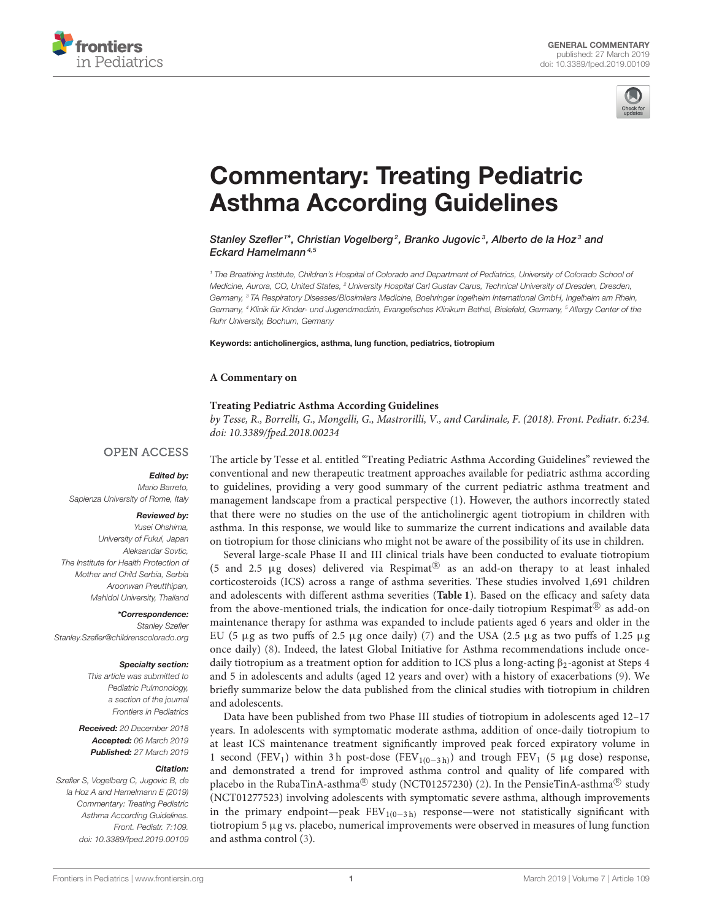



# [Commentary: Treating Pediatric](https://www.frontiersin.org/articles/10.3389/fped.2019.00109/full) Asthma According Guidelines

[Stanley Szefler](http://loop.frontiersin.org/people/660897/overview)<sup>1\*</sup>, Christian Vogelberg<sup>2</sup>, [Branko Jugovic](http://loop.frontiersin.org/people/676277/overview)<sup>3</sup>, Alberto de la Hoz<sup>3</sup> and Eckard Hamelmann<sup>4,5</sup>

<sup>1</sup> The Breathing Institute, Children's Hospital of Colorado and Department of Pediatrics, University of Colorado School of Medicine, Aurora, CO, United States, <sup>2</sup> University Hospital Carl Gustav Carus, Technical University of Dresden, Dresden, Germany, <sup>3</sup> TA Respiratory Diseases/Biosimilars Medicine, Boehringer Ingelheim International GmbH, Ingelheim am Rhein, Germany, <sup>4</sup> Klinik für Kinder- und Jugendmedizin, Evangelisches Klinikum Bethel, Bielefeld, Germany, <sup>5</sup> Allergy Center of the Ruhr University, Bochum, Germany

Keywords: anticholinergics, asthma, lung function, pediatrics, tiotropium

#### **A Commentary on**

#### **[Treating Pediatric Asthma According Guidelines](https://doi.org/10.3389/fped.2018.00234)**

by Tesse, R., Borrelli, G., Mongelli, G., Mastrorilli, V., and Cardinale, F. (2018). Front. Pediatr. 6:234. doi: [10.3389/fped.2018.00234](https://doi.org/10.3389/fped.2018.00234)

## **OPEN ACCESS**

### Edited by:

Mario Barreto, Sapienza University of Rome, Italy

#### Reviewed by:

Yusei Ohshima, University of Fukui, Japan Aleksandar Sovtic, The Institute for Health Protection of Mother and Child Serbia, Serbia Aroonwan Preutthipan, Mahidol University, Thailand

\*Correspondence: Stanley Szefler [Stanley.Szefler@childrenscolorado.org](mailto:Stanley.Szefler@childrenscolorado.org)

#### Specialty section:

This article was submitted to Pediatric Pulmonology, a section of the journal Frontiers in Pediatrics

Received: 20 December 2018 Accepted: 06 March 2019 Published: 27 March 2019

#### Citation:

Szefler S, Vogelberg C, Jugovic B, de la Hoz A and Hamelmann E (2019) Commentary: Treating Pediatric Asthma According Guidelines. Front. Pediatr. 7:109. doi: [10.3389/fped.2019.00109](https://doi.org/10.3389/fped.2019.00109) The article by Tesse et al. entitled "Treating Pediatric Asthma According Guidelines" reviewed the conventional and new therapeutic treatment approaches available for pediatric asthma according to guidelines, providing a very good summary of the current pediatric asthma treatment and management landscape from a practical perspective [\(1\)](#page-2-0). However, the authors incorrectly stated that there were no studies on the use of the anticholinergic agent tiotropium in children with asthma. In this response, we would like to summarize the current indications and available data on tiotropium for those clinicians who might not be aware of the possibility of its use in children.

Several large-scale Phase II and III clinical trials have been conducted to evaluate tiotropium (5 and 2.5  $\mu$ g doses) delivered via Respimat<sup>®</sup> as an add-on therapy to at least inhaled corticosteroids (ICS) across a range of asthma severities. These studies involved 1,691 children and adolescents with different asthma severities (**[Table 1](#page-1-0)**). Based on the efficacy and safety data from the above-mentioned trials, the indication for once-daily tiotropium Respimat<sup>®</sup> as add-on maintenance therapy for asthma was expanded to include patients aged 6 years and older in the EU (5  $\mu$ g as two puffs of 2.5  $\mu$ g once daily) [\(7\)](#page-2-1) and the USA (2.5  $\mu$ g as two puffs of 1.25  $\mu$ g once daily) [\(8\)](#page-2-2). Indeed, the latest Global Initiative for Asthma recommendations include oncedaily tiotropium as a treatment option for addition to ICS plus a long-acting  $\beta_2$ -agonist at Steps 4 and 5 in adolescents and adults (aged 12 years and over) with a history of exacerbations [\(9\)](#page-2-3). We briefly summarize below the data published from the clinical studies with tiotropium in children and adolescents.

Data have been published from two Phase III studies of tiotropium in adolescents aged 12–17 years. In adolescents with symptomatic moderate asthma, addition of once-daily tiotropium to at least ICS maintenance treatment significantly improved peak forced expiratory volume in 1 second (FEV<sub>1</sub>) within 3 h post-dose (FEV<sub>1(0-3h)</sub>) and trough FEV<sub>1</sub> (5 µg dose) response, and demonstrated a trend for improved asthma control and quality of life compared with placebo in the RubaTinA-asthma® study (NCT01257230) [\(2\)](#page-2-4). In the PensieTinA-asthma® study (NCT01277523) involving adolescents with symptomatic severe asthma, although improvements in the primary endpoint—peak  $FEV_{1(0-3h)}$  response—were not statistically significant with tiotropium 5 µg vs. placebo, numerical improvements were observed in measures of lung function and asthma control [\(3\)](#page-2-5).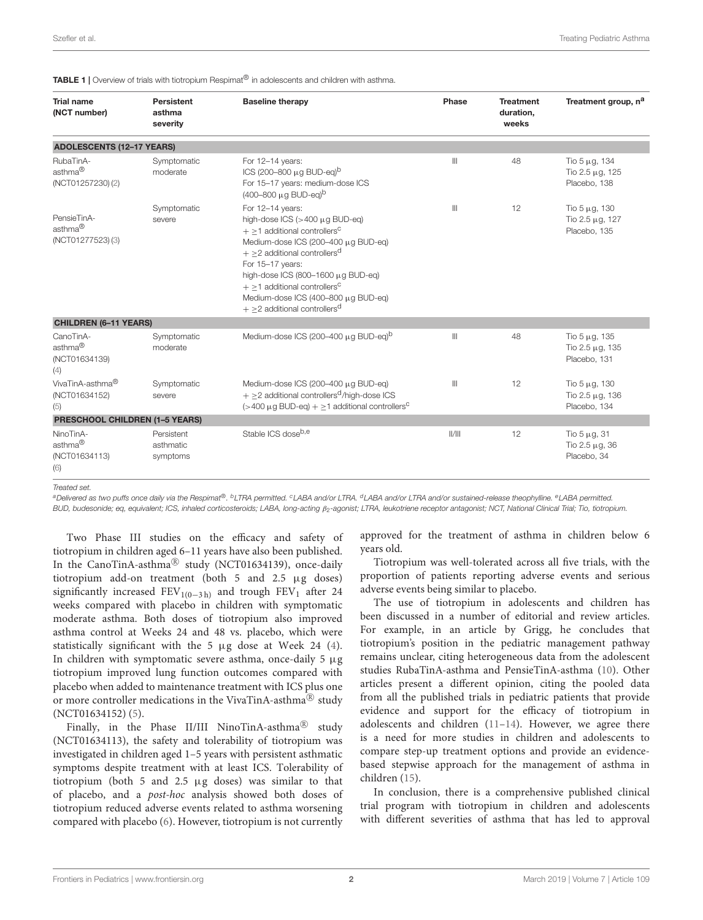<span id="page-1-0"></span>

| <b>Trial name</b><br>(NCT number)                        | Persistent<br>asthma<br>severity    | <b>Baseline therapy</b>                                                                                                                                                                                                                                                                                                                                                                          | Phase        | <b>Treatment</b><br>duration,<br>weeks | Treatment group, n <sup>a</sup>                             |
|----------------------------------------------------------|-------------------------------------|--------------------------------------------------------------------------------------------------------------------------------------------------------------------------------------------------------------------------------------------------------------------------------------------------------------------------------------------------------------------------------------------------|--------------|----------------------------------------|-------------------------------------------------------------|
| <b>ADOLESCENTS (12-17 YEARS)</b>                         |                                     |                                                                                                                                                                                                                                                                                                                                                                                                  |              |                                        |                                                             |
| RubaTinA-<br>asthma <sup>®</sup><br>(NCT01257230)(2)     | Symptomatic<br>moderate             | For 12-14 years:<br>ICS (200-800 $\mu$ g BUD-eg) <sup>b</sup><br>For 15-17 years: medium-dose ICS<br>$(400 - 800 \mu q \text{ BUD-eq})^b$                                                                                                                                                                                                                                                        | $\mathbb{H}$ | 48                                     | Tio $5 \mu g$ , 134<br>Tio 2.5 μg, 125<br>Placebo, 138      |
| PensieTinA-<br>asthma <sup>®</sup><br>(NCT01277523)(3)   | Symptomatic<br>severe               | For 12-14 years:<br>high-dose ICS $(>400 \mu$ g BUD-eg)<br>$+ \geq 1$ additional controllers <sup>C</sup><br>Medium-dose ICS (200-400 µg BUD-eq)<br>$+$ >2 additional controllers <sup>d</sup><br>For 15-17 years:<br>high-dose ICS (800-1600 $\mu$ g BUD-eg)<br>$+$ >1 additional controllers <sup>c</sup><br>Medium-dose ICS (400-800 µg BUD-eq)<br>$+$ >2 additional controllers <sup>d</sup> | $\mathbb{H}$ | 12                                     | Tio $5 \mu g$ , 130<br>Tio 2.5 μg, 127<br>Placebo, 135      |
| <b>CHILDREN (6-11 YEARS)</b>                             |                                     |                                                                                                                                                                                                                                                                                                                                                                                                  |              |                                        |                                                             |
| CanoTinA-<br>asthma <sup>®</sup><br>(NCT01634139)<br>(4) | Symptomatic<br>moderate             | Medium-dose ICS (200-400 µg BUD-eg) <sup>b</sup>                                                                                                                                                                                                                                                                                                                                                 | $\mathbb{H}$ | 48                                     | Tio $5 \mu g$ , 135<br>Tio $2.5 \mu$ g, 135<br>Placebo, 131 |
| VivaTinA-asthma <sup>®</sup><br>(NCT01634152)<br>(5)     | Symptomatic<br>severe               | Medium-dose ICS (200-400 µg BUD-eq)<br>$+ \geq 2$ additional controllers <sup>d</sup> /high-dose ICS<br>$(>400 \,\mu\text{g } BUD\text{-eq}) + > 1$ additional controllers <sup>C</sup>                                                                                                                                                                                                          | $\mathbb{H}$ | 12                                     | Tio $5 \mu g$ , 130<br>Tio $2.5 \mu$ g, 136<br>Placebo, 134 |
| <b>PRESCHOOL CHILDREN (1-5 YEARS)</b>                    |                                     |                                                                                                                                                                                                                                                                                                                                                                                                  |              |                                        |                                                             |
| NinoTinA-<br>asthma <sup>®</sup><br>(NCT01634113)<br>(6) | Persistent<br>asthmatic<br>symptoms | Stable ICS doseb,e                                                                                                                                                                                                                                                                                                                                                                               | /            | 12                                     | Tio $5 \mu$ g, 31<br>Tio $2.5 \mu$ g, 36<br>Placebo, 34     |

Treated set.

<sup>a</sup>Delivered as two puffs once daily via the Respimat®. <sup>b</sup>LTRA permitted. <sup>c</sup>LABA and/or LTRA. <sup>d</sup>LABA and/or LTRA and/or sustained-release theophylline. <sup>e</sup>LABA permitted.

BUD, budesonide; eq, equivalent; ICS, inhaled corticosteroids; LABA, long-acting β2-agonist; LTRA, leukotriene receptor antagonist; NCT, National Clinical Trial; Tio, tiotropium.

Two Phase III studies on the efficacy and safety of tiotropium in children aged 6–11 years have also been published. In the CanoTinA-asthma<sup>®</sup> study (NCT01634139), once-daily tiotropium add-on treatment (both 5 and 2.5 µg doses) significantly increased FEV<sub>1(0-3h)</sub> and trough FEV<sub>1</sub> after 24 weeks compared with placebo in children with symptomatic moderate asthma. Both doses of tiotropium also improved asthma control at Weeks 24 and 48 vs. placebo, which were statistically significant with the 5 µg dose at Week 24 [\(4\)](#page-2-6). In children with symptomatic severe asthma, once-daily 5  $\mu$ g tiotropium improved lung function outcomes compared with placebo when added to maintenance treatment with ICS plus one or more controller medications in the VivaTinA-asthma $^\circledR$  study (NCT01634152) [\(5\)](#page-2-7).

Finally, in the Phase II/III NinoTinA-asthma<sup>®</sup> study (NCT01634113), the safety and tolerability of tiotropium was investigated in children aged 1–5 years with persistent asthmatic symptoms despite treatment with at least ICS. Tolerability of tiotropium (both 5 and 2.5 µg doses) was similar to that of placebo, and a post-hoc analysis showed both doses of tiotropium reduced adverse events related to asthma worsening compared with placebo [\(6\)](#page-2-8). However, tiotropium is not currently

approved for the treatment of asthma in children below 6 years old.

Tiotropium was well-tolerated across all five trials, with the proportion of patients reporting adverse events and serious adverse events being similar to placebo.

The use of tiotropium in adolescents and children has been discussed in a number of editorial and review articles. For example, in an article by Grigg, he concludes that tiotropium's position in the pediatric management pathway remains unclear, citing heterogeneous data from the adolescent studies RubaTinA-asthma and PensieTinA-asthma [\(10\)](#page-2-9). Other articles present a different opinion, citing the pooled data from all the published trials in pediatric patients that provide evidence and support for the efficacy of tiotropium in adolescents and children [\(11](#page-2-10)[–14\)](#page-2-11). However, we agree there is a need for more studies in children and adolescents to compare step-up treatment options and provide an evidencebased stepwise approach for the management of asthma in children [\(15\)](#page-2-12).

In conclusion, there is a comprehensive published clinical trial program with tiotropium in children and adolescents with different severities of asthma that has led to approval